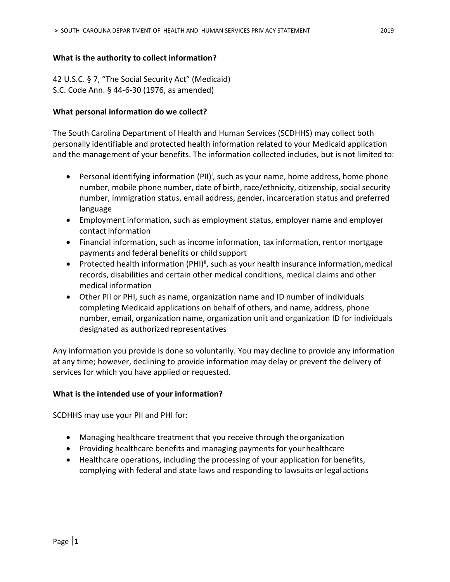### **What is the authority to collect information?**

42 U.S.C. § 7, "The Social Security Act" (Medicaid) S.C. Code Ann. § 44-6-30 (1976, as amended)

### **What personal information do we collect?**

The South Carolina Department of Health and Human Services (SCDHHS) may collect both personally identifiable and protected health information related to your Medicaid application and the management of your benefits. The information collected includes, but is not limited to:

- Personal identifying information (PII)<sup>i</sup>, such as your name, home address, home phone number, mobile phone number, date of birth, race/ethnicity, citizenship, social security number, immigration status, email address, gender, incarceration status and preferred language
- Employment information, such as employment status, employer name and employer contact information
- Financial information, such as income information, tax information, rentor mortgage payments and federal benefits or child support
- Protected health information (PHI)<sup>ii</sup>, such as your health insurance information, medical records, disabilities and certain other medical conditions, medical claims and other medical information
- Other PII or PHI, such as name, organization name and ID number of individuals completing Medicaid applications on behalf of others, and name, address, phone number, email, organization name, organization unit and organization ID for individuals designated as authorized representatives

Any information you provide is done so voluntarily. You may decline to provide any information at any time; however, declining to provide information may delay or prevent the delivery of services for which you have applied or requested.

# **What is the intended use of your information?**

SCDHHS may use your PII and PHI for:

- Managing healthcare treatment that you receive through the organization
- Providing healthcare benefits and managing payments for yourhealthcare
- Healthcare operations, including the processing of your application for benefits, complying with federal and state laws and responding to lawsuits or legal actions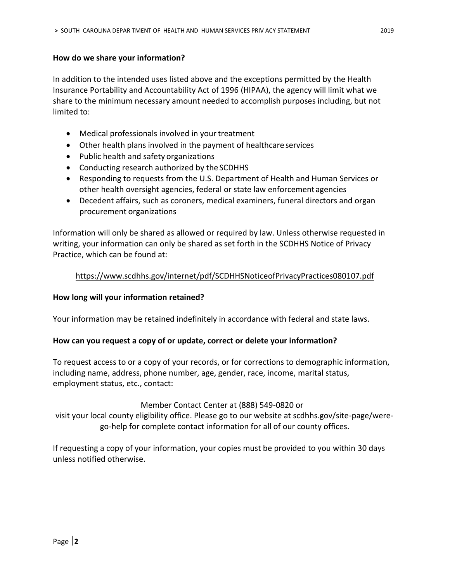### **How do we share your information?**

In addition to the intended uses listed above and the exceptions permitted by the Health Insurance Portability and Accountability Act of 1996 (HIPAA), the agency will limit what we share to the minimum necessary amount needed to accomplish purposes including, but not limited to:

- Medical professionals involved in your treatment
- Other health plans involved in the payment of healthcare services
- Public health and safety organizations
- Conducting research authorized by the SCDHHS
- Responding to requests from the U.S. Department of Health and Human Services or other health oversight agencies, federal or state law enforcement agencies
- Decedent affairs, such as coroners, medical examiners, funeral directors and organ procurement organizations

Information will only be shared as allowed or required by law. Unless otherwise requested in writing, your information can only be shared as set forth in the SCDHHS Notice of Privacy Practice, which can be found at:

# <https://www.scdhhs.gov/internet/pdf/SCDHHSNoticeofPrivacyPractices080107.pdf>

# **How long will your information retained?**

Your information may be retained indefinitely in accordance with federal and state laws.

#### **How can you request a copy of or update, correct or delete your information?**

To request access to or a copy of your records, or for corrections to demographic information, including name, address, phone number, age, gender, race, income, marital status, employment status, etc., contact:

# Member Contact Center at (888) 549-0820 or

visit your local county eligibility office. Please go to our website at scdhhs.gov/site-page/werego-help for complete contact information for all of our county offices.

If requesting a copy of your information, your copies must be provided to you within 30 days unless notified otherwise.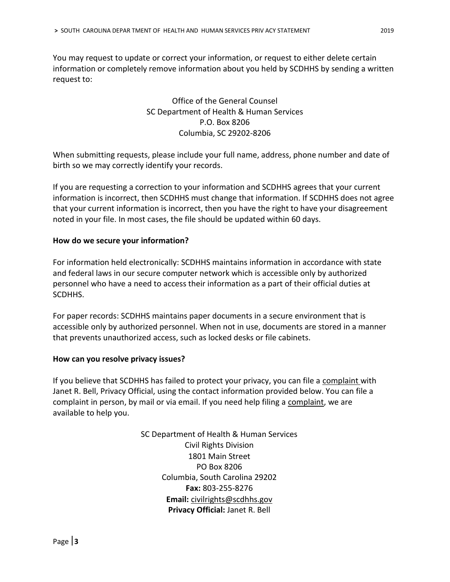You may request to update or correct your information, or request to either delete certain information or completely remove information about you held by SCDHHS by sending a written request to:

> Office of the General Counsel SC Department of Health & Human Services P.O. Box 8206 Columbia, SC 29202-8206

When submitting requests, please include your full name, address, phone number and date of birth so we may correctly identify your records.

If you are requesting a correction to your information and SCDHHS agrees that your current information is incorrect, then SCDHHS must change that information. If SCDHHS does not agree that your current information is incorrect, then you have the right to have your disagreement noted in your file. In most cases, the file should be updated within 60 days.

### **How do we secure your information?**

For information held electronically: SCDHHS maintains information in accordance with state and federal laws in our secure computer network which is accessible only by authorized personnel who have a need to access their information as a part of their official duties at SCDHHS.

For paper records: SCDHHS maintains paper documents in a secure environment that is accessible only by authorized personnel. When not in use, documents are stored in a manner that prevents unauthorized access, such as locked desks or file cabinets.

#### **How can you resolve privacy issues?**

If you believe that SCDHHS has failed to protect your privacy, you can file a [complaint](https://msp.scdhhs.gov/crd/sites/default/files/Health%20Information%20Privacy%20Complaint%20Form.pdf) with Janet R. Bell, Privacy Official, using the contact information provided below. You can file a complaint in person, by mail or via email. If you need help filing a [complaint,](https://msp.scdhhs.gov/crd/sites/default/files/Health%20Information%20Privacy%20Complaint%20Form.pdf) we are available to help you.

> SC Department of Health & Human Services Civil Rights Division 1801 Main Street PO Box 8206 Columbia, South Carolina 29202 **Fax:** 803-255-8276 **Email:** [civilrights@scdhhs.gov](mailto:civilrights@scdhhs.gov) **Privacy Official:** Janet R. Bell